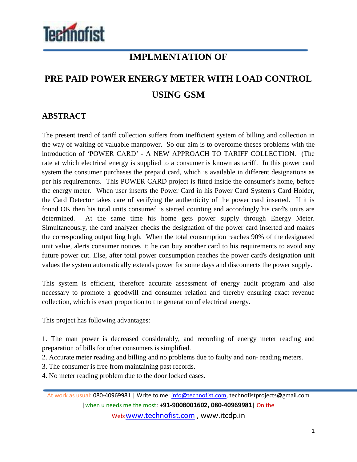

## **IMPLMENTATION OF**

## **PRE PAID POWER ENERGY METER WITH LOAD CONTROL USING GSM**

## **ABSTRACT**

The present trend of tariff collection suffers from inefficient system of billing and collection in the way of waiting of valuable manpower. So our aim is to overcome theses problems with the introduction of 'POWER CARD' - A NEW APPROACH TO TARIFF COLLECTION. (The rate at which electrical energy is supplied to a consumer is known as tariff. In this power card system the consumer purchases the prepaid card, which is available in different designations as per his requirements. This POWER CARD project is fitted inside the consumer's home, before the energy meter. When user inserts the Power Card in his Power Card System's Card Holder, the Card Detector takes care of verifying the authenticity of the power card inserted. If it is found OK then his total units consumed is started counting and accordingly his card's units are determined. At the same time his home gets power supply through Energy Meter. Simultaneously, the card analyzer checks the designation of the power card inserted and makes the corresponding output ling high. When the total consumption reaches 90% of the designated unit value, alerts consumer notices it; he can buy another card to his requirements to avoid any future power cut. Else, after total power consumption reaches the power card's designation unit values the system automatically extends power for some days and disconnects the power supply.

This system is efficient, therefore accurate assessment of energy audit program and also necessary to promote a goodwill and consumer relation and thereby ensuring exact revenue collection, which is exact proportion to the generation of electrical energy.

This project has following advantages:

1. The man power is decreased considerably, and recording of energy meter reading and preparation of bills for other consumers is simplified.

2. Accurate meter reading and billing and no problems due to faulty and non- reading meters.

3. The consumer is free from maintaining past records.

4. No meter reading problem due to the door locked cases.

At work as usual: 080-40969981 | Write to me: info@technofist.com, technofistprojects@gmail.com |when u needs me the most: **+91-9008001602, 080-40969981**| On the Web:www.technofist.com , www.itcdp.in

1